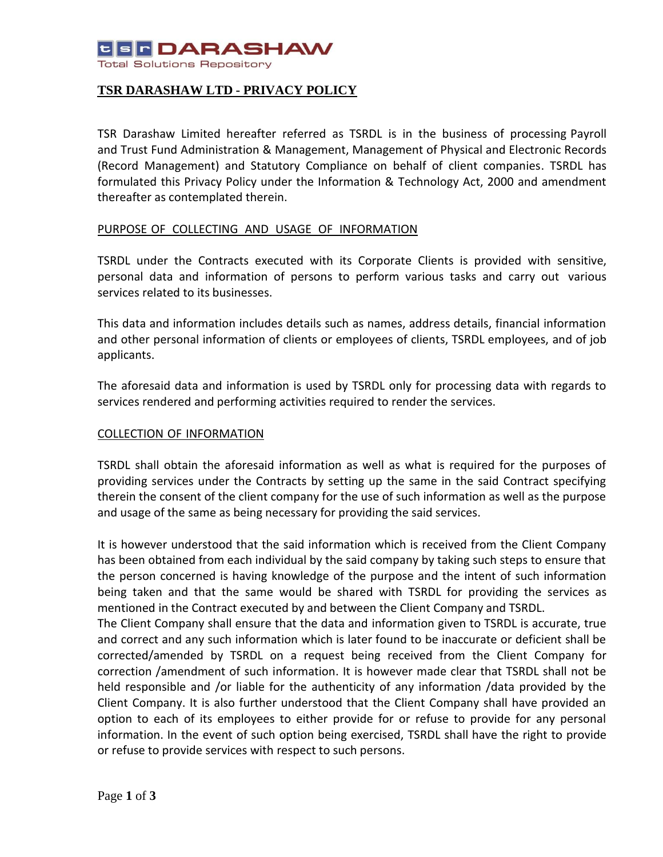# **USF DARASHAW**

**Total Solutions Repository** 

## **TSR DARASHAW LTD - PRIVACY POLICY**

TSR Darashaw Limited hereafter referred as TSRDL is in the business of processing Payroll and Trust Fund Administration & Management, Management of Physical and Electronic Records (Record Management) and Statutory Compliance on behalf of client companies. TSRDL has formulated this Privacy Policy under the Information & Technology Act, 2000 and amendment thereafter as contemplated therein.

### PURPOSE OF COLLECTING AND USAGE OF INFORMATION

TSRDL under the Contracts executed with its Corporate Clients is provided with sensitive, personal data and information of persons to perform various tasks and carry out various services related to its businesses.

This data and information includes details such as names, address details, financial information and other personal information of clients or employees of clients, TSRDL employees, and of job applicants.

The aforesaid data and information is used by TSRDL only for processing data with regards to services rendered and performing activities required to render the services.

## COLLECTION OF INFORMATION

TSRDL shall obtain the aforesaid information as well as what is required for the purposes of providing services under the Contracts by setting up the same in the said Contract specifying therein the consent of the client company for the use of such information as well as the purpose and usage of the same as being necessary for providing the said services.

It is however understood that the said information which is received from the Client Company has been obtained from each individual by the said company by taking such steps to ensure that the person concerned is having knowledge of the purpose and the intent of such information being taken and that the same would be shared with TSRDL for providing the services as mentioned in the Contract executed by and between the Client Company and TSRDL.

The Client Company shall ensure that the data and information given to TSRDL is accurate, true and correct and any such information which is later found to be inaccurate or deficient shall be corrected/amended by TSRDL on a request being received from the Client Company for correction /amendment of such information. It is however made clear that TSRDL shall not be held responsible and /or liable for the authenticity of any information /data provided by the Client Company. It is also further understood that the Client Company shall have provided an option to each of its employees to either provide for or refuse to provide for any personal information. In the event of such option being exercised, TSRDL shall have the right to provide or refuse to provide services with respect to such persons.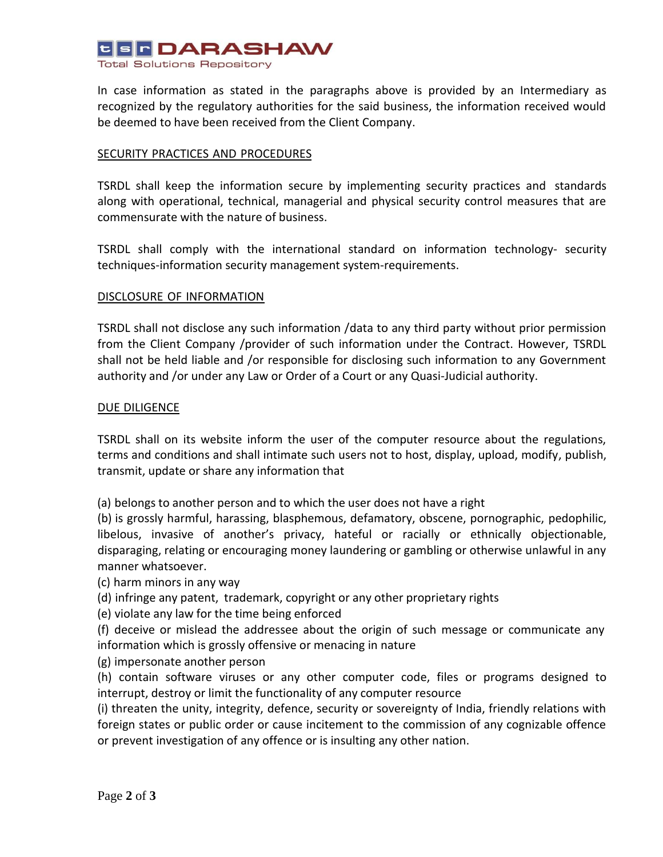

In case information as stated in the paragraphs above is provided by an Intermediary as recognized by the regulatory authorities for the said business, the information received would be deemed to have been received from the Client Company.

### SECURITY PRACTICES AND PROCEDURES

TSRDL shall keep the information secure by implementing security practices and standards along with operational, technical, managerial and physical security control measures that are commensurate with the nature of business.

TSRDL shall comply with the international standard on information technology- security techniques-information security management system-requirements.

### DISCLOSURE OF INFORMATION

TSRDL shall not disclose any such information /data to any third party without prior permission from the Client Company /provider of such information under the Contract. However, TSRDL shall not be held liable and /or responsible for disclosing such information to any Government authority and /or under any Law or Order of a Court or any Quasi-Judicial authority.

#### DUE DILIGENCE

TSRDL shall on its website inform the user of the computer resource about the regulations, terms and conditions and shall intimate such users not to host, display, upload, modify, publish, transmit, update or share any information that

(a) belongs to another person and to which the user does not have a right

(b) is grossly harmful, harassing, blasphemous, defamatory, obscene, pornographic, pedophilic, libelous, invasive of another's privacy, hateful or racially or ethnically objectionable, disparaging, relating or encouraging money laundering or gambling or otherwise unlawful in any manner whatsoever.

(c) harm minors in any way

(d) infringe any patent, trademark, copyright or any other proprietary rights

(e) violate any law for the time being enforced

(f) deceive or mislead the addressee about the origin of such message or communicate any information which is grossly offensive or menacing in nature

(g) impersonate another person

(h) contain software viruses or any other computer code, files or programs designed to interrupt, destroy or limit the functionality of any computer resource

(i) threaten the unity, integrity, defence, security or sovereignty of India, friendly relations with foreign states or public order or cause incitement to the commission of any cognizable offence or prevent investigation of any offence or is insulting any other nation.